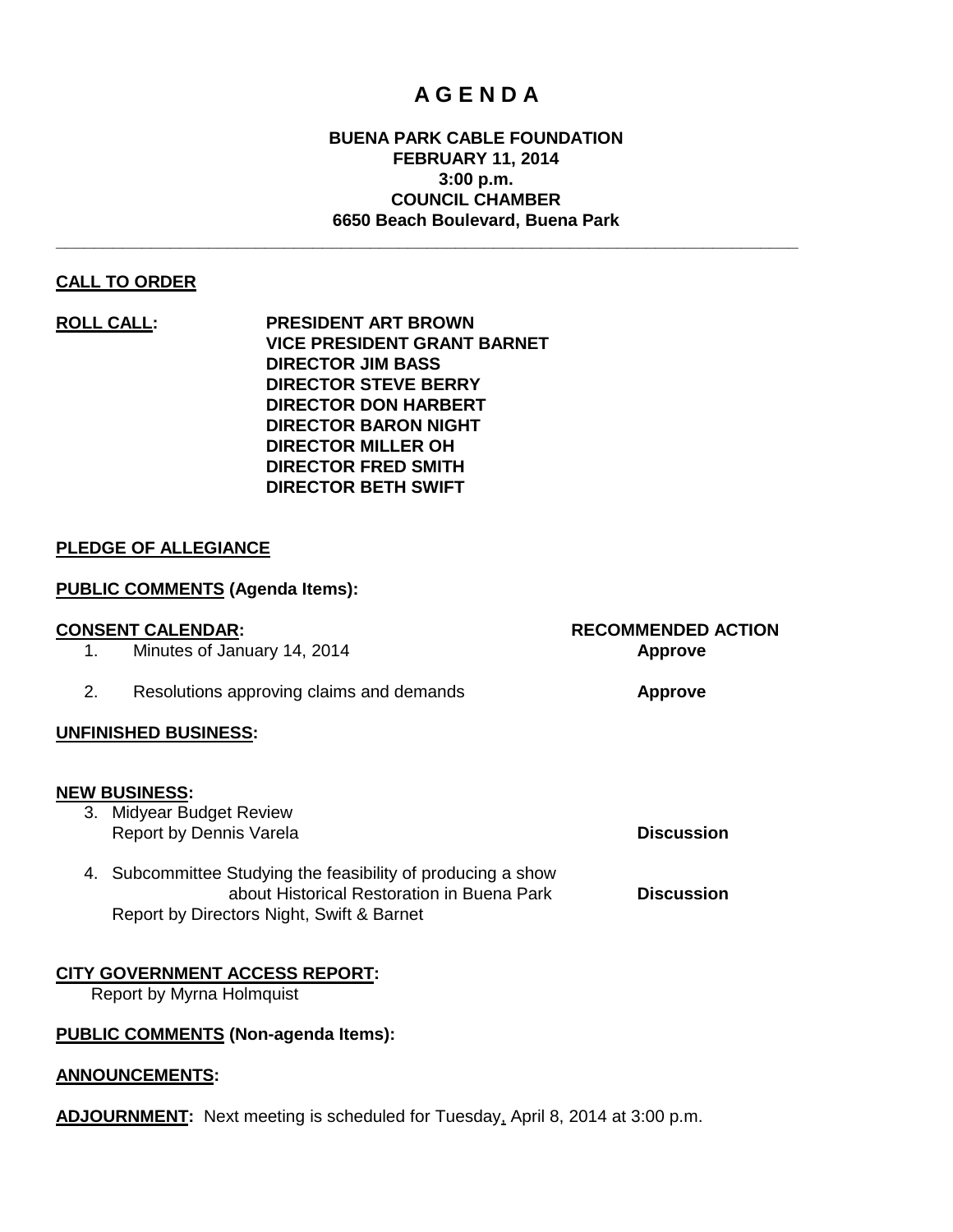# **A G E N D A**

# **BUENA PARK CABLE FOUNDATION FEBRUARY 11, 2014 3:00 p.m. COUNCIL CHAMBER 6650 Beach Boulevard, Buena Park**

**\_\_\_\_\_\_\_\_\_\_\_\_\_\_\_\_\_\_\_\_\_\_\_\_\_\_\_\_\_\_\_\_\_\_\_\_\_\_\_\_\_\_\_\_\_\_\_\_\_\_\_\_\_\_\_\_\_\_\_\_\_\_\_\_\_\_\_\_\_\_\_\_\_\_\_\_\_\_**

# **CALL TO ORDER**

**ROLL CALL: PRESIDENT ART BROWN VICE PRESIDENT GRANT BARNET DIRECTOR JIM BASS DIRECTOR STEVE BERRY DIRECTOR DON HARBERT DIRECTOR BARON NIGHT DIRECTOR MILLER OH DIRECTOR FRED SMITH DIRECTOR BETH SWIFT**

# **PLEDGE OF ALLEGIANCE**

# **PUBLIC COMMENTS (Agenda Items):**

### **CONSENT CALENDAR: RECOMMENDED ACTION**

1. Minutes of January 14, 2014 **Approve**

2. Resolutions approving claims and demands **Approve**

Report by Directors Night, Swift & Barnet

4. Subcommittee Studying the feasibility of producing a show

### **UNFINISHED BUSINESS:**

#### **NEW BUSINESS:**

3. Midyear Budget Review Report by Dennis Varela **Discussion** 

about Historical Restoration in Buena Park **Discussion**

# **CITY GOVERNMENT ACCESS REPORT:**

Report by Myrna Holmquist

# **PUBLIC COMMENTS (Non-agenda Items):**

### **ANNOUNCEMENTS:**

**ADJOURNMENT:** Next meeting is scheduled for Tuesday, April 8, 2014 at 3:00 p.m.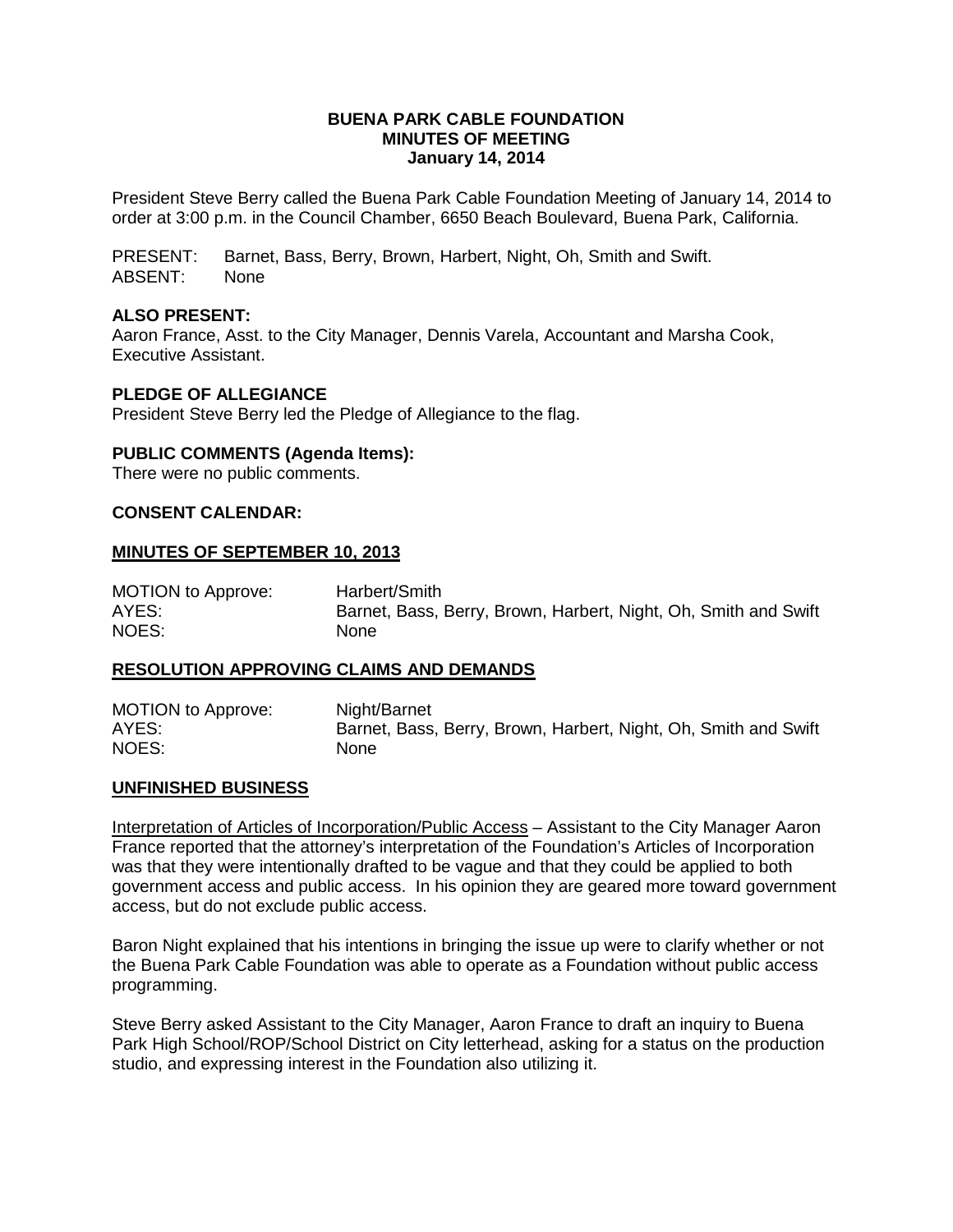## **BUENA PARK CABLE FOUNDATION MINUTES OF MEETING January 14, 2014**

President Steve Berry called the Buena Park Cable Foundation Meeting of January 14, 2014 to order at 3:00 p.m. in the Council Chamber, 6650 Beach Boulevard, Buena Park, California.

PRESENT: Barnet, Bass, Berry, Brown, Harbert, Night, Oh, Smith and Swift. ABSENT: None

# **ALSO PRESENT:**

Aaron France, Asst. to the City Manager, Dennis Varela, Accountant and Marsha Cook, Executive Assistant.

### **PLEDGE OF ALLEGIANCE**

President Steve Berry led the Pledge of Allegiance to the flag.

### **PUBLIC COMMENTS (Agenda Items):**

There were no public comments.

### **CONSENT CALENDAR:**

### **MINUTES OF SEPTEMBER 10, 2013**

| <b>MOTION to Approve:</b> | Harbert/Smith                                                   |
|---------------------------|-----------------------------------------------------------------|
| AYES:                     | Barnet, Bass, Berry, Brown, Harbert, Night, Oh, Smith and Swift |
| NOES:                     | None                                                            |

#### **RESOLUTION APPROVING CLAIMS AND DEMANDS**

| <b>MOTION to Approve:</b> | Night/Barnet                                                    |
|---------------------------|-----------------------------------------------------------------|
| AYES:                     | Barnet, Bass, Berry, Brown, Harbert, Night, Oh, Smith and Swift |
| NOES:                     | None                                                            |

#### **UNFINISHED BUSINESS**

Interpretation of Articles of Incorporation/Public Access – Assistant to the City Manager Aaron France reported that the attorney's interpretation of the Foundation's Articles of Incorporation was that they were intentionally drafted to be vague and that they could be applied to both government access and public access. In his opinion they are geared more toward government access, but do not exclude public access.

Baron Night explained that his intentions in bringing the issue up were to clarify whether or not the Buena Park Cable Foundation was able to operate as a Foundation without public access programming.

Steve Berry asked Assistant to the City Manager, Aaron France to draft an inquiry to Buena Park High School/ROP/School District on City letterhead, asking for a status on the production studio, and expressing interest in the Foundation also utilizing it.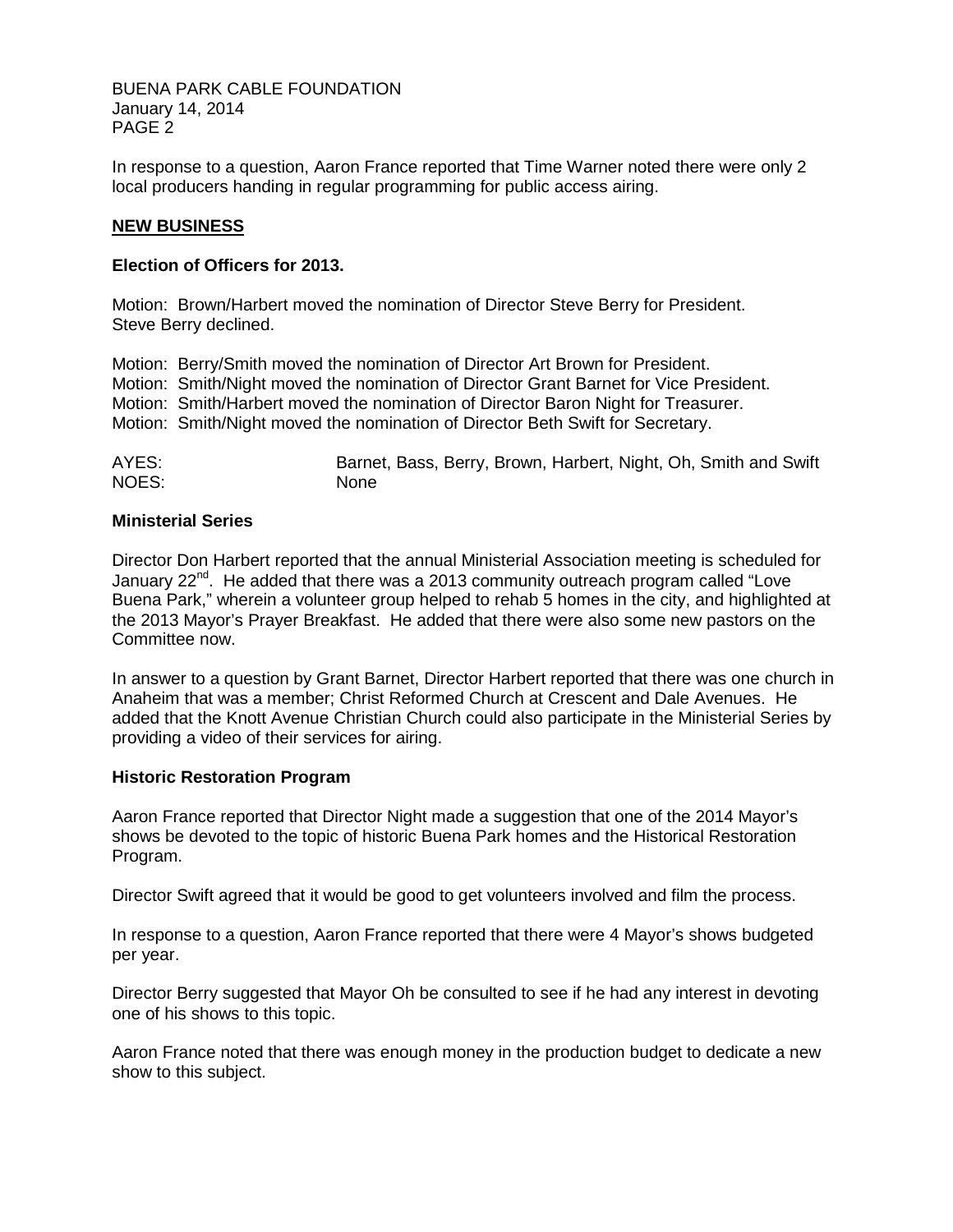BUENA PARK CABLE FOUNDATION January 14, 2014 PAGE 2

In response to a question, Aaron France reported that Time Warner noted there were only 2 local producers handing in regular programming for public access airing.

## **NEW BUSINESS**

### **Election of Officers for 2013.**

Motion: Brown/Harbert moved the nomination of Director Steve Berry for President. Steve Berry declined.

Motion: Berry/Smith moved the nomination of Director Art Brown for President. Motion: Smith/Night moved the nomination of Director Grant Barnet for Vice President. Motion: Smith/Harbert moved the nomination of Director Baron Night for Treasurer. Motion: Smith/Night moved the nomination of Director Beth Swift for Secretary.

| AYES: | Barnet, Bass, Berry, Brown, Harbert, Night, Oh, Smith and Swift |
|-------|-----------------------------------------------------------------|
| NOES: | None                                                            |

### **Ministerial Series**

Director Don Harbert reported that the annual Ministerial Association meeting is scheduled for January  $22<sup>nd</sup>$ . He added that there was a 2013 community outreach program called "Love Buena Park," wherein a volunteer group helped to rehab 5 homes in the city, and highlighted at the 2013 Mayor's Prayer Breakfast. He added that there were also some new pastors on the Committee now.

In answer to a question by Grant Barnet, Director Harbert reported that there was one church in Anaheim that was a member; Christ Reformed Church at Crescent and Dale Avenues. He added that the Knott Avenue Christian Church could also participate in the Ministerial Series by providing a video of their services for airing.

### **Historic Restoration Program**

Aaron France reported that Director Night made a suggestion that one of the 2014 Mayor's shows be devoted to the topic of historic Buena Park homes and the Historical Restoration Program.

Director Swift agreed that it would be good to get volunteers involved and film the process.

In response to a question, Aaron France reported that there were 4 Mayor's shows budgeted per year.

Director Berry suggested that Mayor Oh be consulted to see if he had any interest in devoting one of his shows to this topic.

Aaron France noted that there was enough money in the production budget to dedicate a new show to this subject.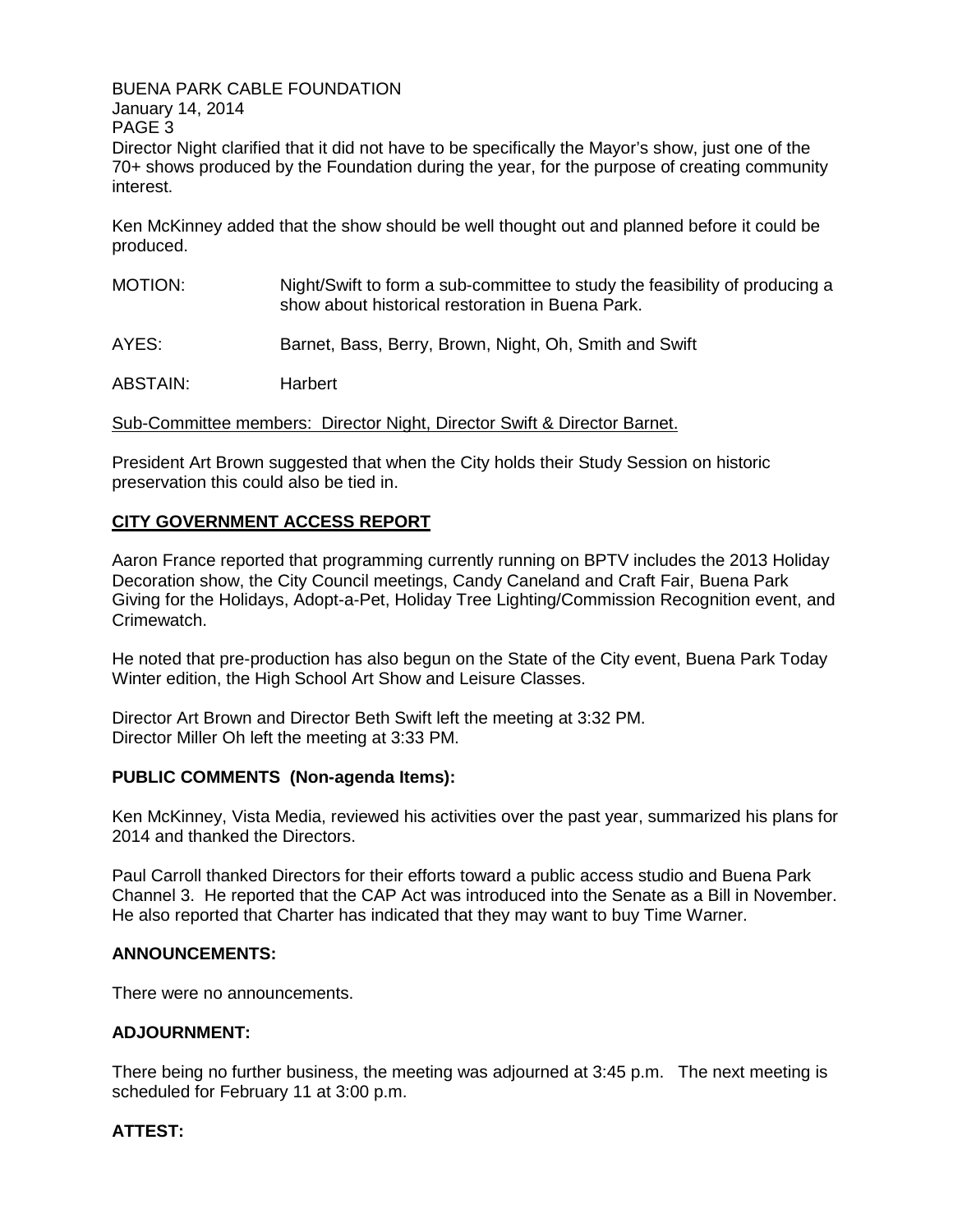BUENA PARK CABLE FOUNDATION

January 14, 2014 PAGE 3

Director Night clarified that it did not have to be specifically the Mayor's show, just one of the 70+ shows produced by the Foundation during the year, for the purpose of creating community interest.

Ken McKinney added that the show should be well thought out and planned before it could be produced.

- MOTION: Night/Swift to form a sub-committee to study the feasibility of producing a show about historical restoration in Buena Park.
- AYES: Barnet, Bass, Berry, Brown, Night, Oh, Smith and Swift

ABSTAIN: Harbert

Sub-Committee members: Director Night, Director Swift & Director Barnet.

President Art Brown suggested that when the City holds their Study Session on historic preservation this could also be tied in.

# **CITY GOVERNMENT ACCESS REPORT**

Aaron France reported that programming currently running on BPTV includes the 2013 Holiday Decoration show, the City Council meetings, Candy Caneland and Craft Fair, Buena Park Giving for the Holidays, Adopt-a-Pet, Holiday Tree Lighting/Commission Recognition event, and Crimewatch.

He noted that pre-production has also begun on the State of the City event, Buena Park Today Winter edition, the High School Art Show and Leisure Classes.

Director Art Brown and Director Beth Swift left the meeting at 3:32 PM. Director Miller Oh left the meeting at 3:33 PM.

# **PUBLIC COMMENTS (Non-agenda Items):**

Ken McKinney, Vista Media, reviewed his activities over the past year, summarized his plans for 2014 and thanked the Directors.

Paul Carroll thanked Directors for their efforts toward a public access studio and Buena Park Channel 3. He reported that the CAP Act was introduced into the Senate as a Bill in November. He also reported that Charter has indicated that they may want to buy Time Warner.

### **ANNOUNCEMENTS:**

There were no announcements.

# **ADJOURNMENT:**

There being no further business, the meeting was adjourned at 3:45 p.m. The next meeting is scheduled for February 11 at 3:00 p.m.

# **ATTEST:**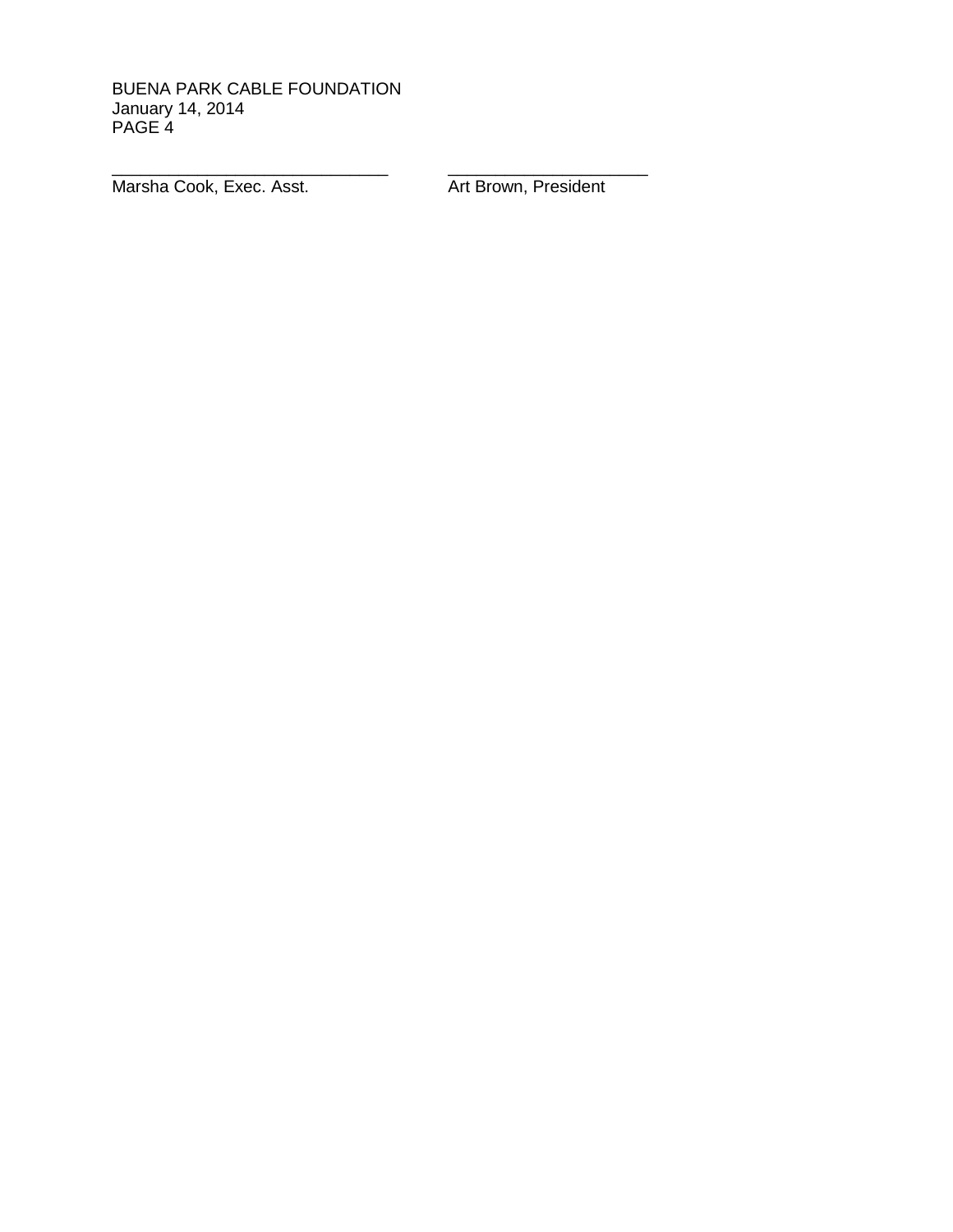BUENA PARK CABLE FOUNDATION January 14, 2014 PAGE 4

\_\_\_\_\_\_\_\_\_\_\_\_\_\_\_\_\_\_\_\_\_\_\_\_\_\_\_\_\_ \_\_\_\_\_\_\_\_\_\_\_\_\_\_\_\_\_\_\_\_\_ Marsha Cook, Exec. Asst. **Art Brown, President**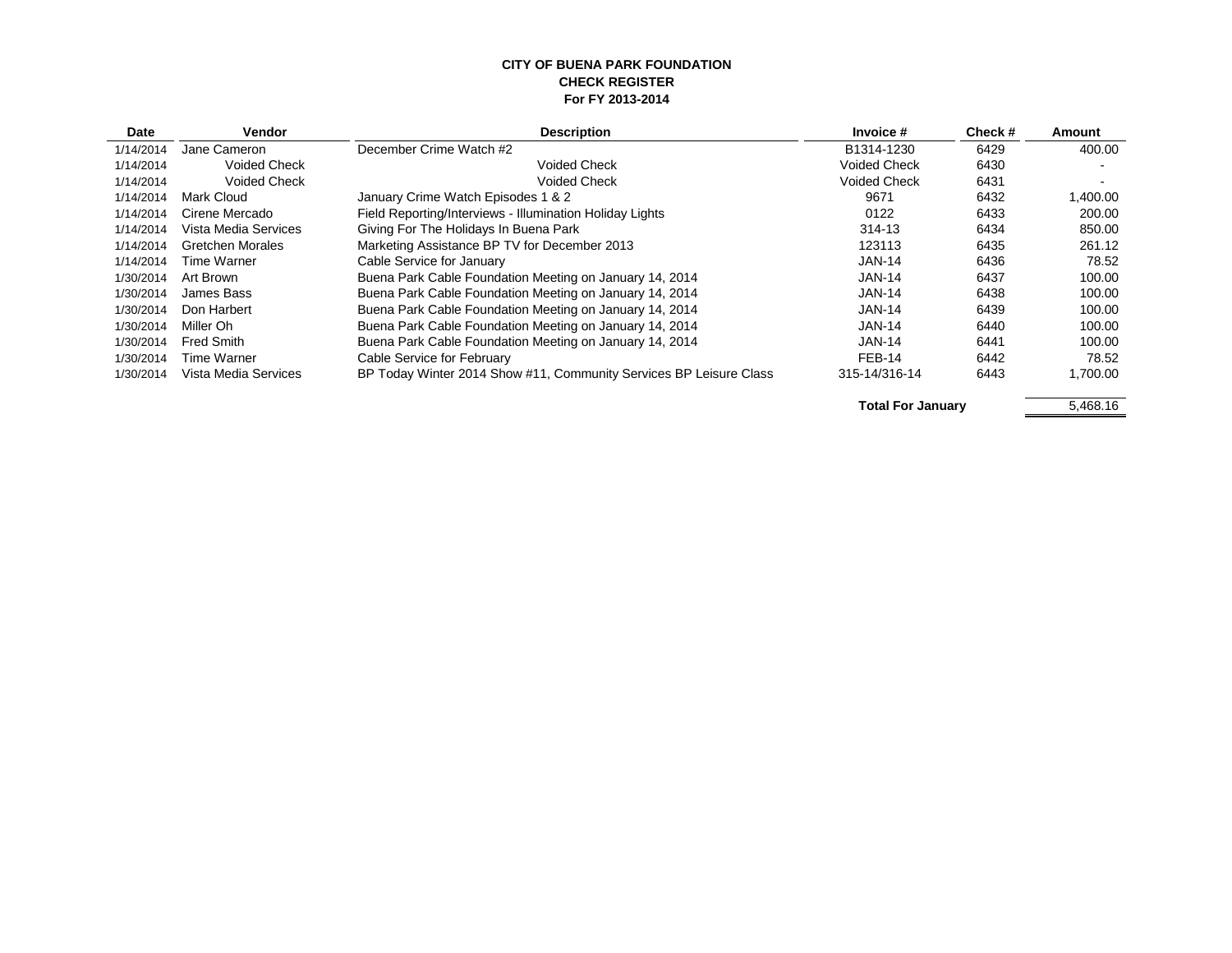#### **CITY OF BUENA PARK FOUNDATION CHECK REGISTER For FY 2013-2014**

| Date      | Vendor                  | <b>Description</b>                                                 | Invoice #           | Check# | Amount   |
|-----------|-------------------------|--------------------------------------------------------------------|---------------------|--------|----------|
| 1/14/2014 | Jane Cameron            | December Crime Watch #2                                            | B1314-1230          | 6429   | 400.00   |
| 1/14/2014 | <b>Voided Check</b>     | <b>Voided Check</b>                                                | <b>Voided Check</b> | 6430   |          |
| 1/14/2014 | <b>Voided Check</b>     | <b>Voided Check</b>                                                | <b>Voided Check</b> | 6431   |          |
| 1/14/2014 | Mark Cloud              | January Crime Watch Episodes 1 & 2                                 | 9671                | 6432   | 1.400.00 |
| 1/14/2014 | Cirene Mercado          | Field Reporting/Interviews - Illumination Holiday Lights           | 0122                | 6433   | 200.00   |
| 1/14/2014 | Vista Media Services    | Giving For The Holidays In Buena Park                              | 314-13              | 6434   | 850.00   |
| 1/14/2014 | <b>Gretchen Morales</b> | Marketing Assistance BP TV for December 2013                       | 123113              | 6435   | 261.12   |
| 1/14/2014 | Time Warner             | Cable Service for January                                          | <b>JAN-14</b>       | 6436   | 78.52    |
| 1/30/2014 | Art Brown               | Buena Park Cable Foundation Meeting on January 14, 2014            | <b>JAN-14</b>       | 6437   | 100.00   |
| 1/30/2014 | James Bass              | Buena Park Cable Foundation Meeting on January 14, 2014            | <b>JAN-14</b>       | 6438   | 100.00   |
| 1/30/2014 | Don Harbert             | Buena Park Cable Foundation Meeting on January 14, 2014            | <b>JAN-14</b>       | 6439   | 100.00   |
| 1/30/2014 | Miller Oh               | Buena Park Cable Foundation Meeting on January 14, 2014            | <b>JAN-14</b>       | 6440   | 100.00   |
| 1/30/2014 | Fred Smith              | Buena Park Cable Foundation Meeting on January 14, 2014            | <b>JAN-14</b>       | 6441   | 100.00   |
| 1/30/2014 | Time Warner             | Cable Service for February                                         | FEB-14              | 6442   | 78.52    |
| 1/30/2014 | Vista Media Services    | BP Today Winter 2014 Show #11, Community Services BP Leisure Class | 315-14/316-14       | 6443   | 1.700.00 |

Total For January **5,468.16**